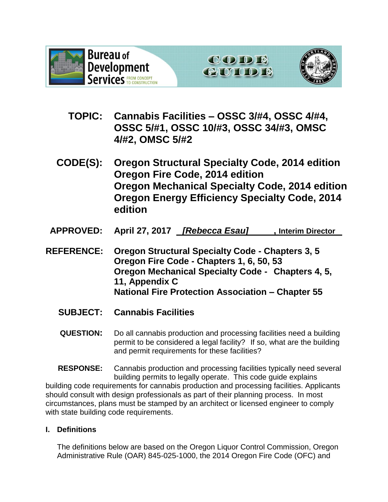





- **TOPIC: Cannabis Facilities – OSSC 3/#4, OSSC 4/#4, OSSC 5/#1, OSSC 10/#3, OSSC 34/#3, OMSC 4/#2, OMSC 5/#2**
- **CODE(S): Oregon Structural Specialty Code, 2014 edition Oregon Fire Code, 2014 edition Oregon Mechanical Specialty Code, 2014 edition Oregon Energy Efficiency Specialty Code, 2014 edition**
- **APPROVED: April 27, 2017** *[Rebecca Esau]* **, Interim Director**
- **REFERENCE: Oregon Structural Specialty Code - Chapters 3, 5 Oregon Fire Code - Chapters 1, 6, 50, 53 Oregon Mechanical Specialty Code - Chapters 4, 5, 11, Appendix C National Fire Protection Association – Chapter 55**
	- **SUBJECT: Cannabis Facilities**
	- **QUESTION:** Do all cannabis production and processing facilities need a building permit to be considered a legal facility? If so, what are the building and permit requirements for these facilities?

**RESPONSE:** Cannabis production and processing facilities typically need several building permits to legally operate. This code guide explains building code requirements for cannabis production and processing facilities. Applicants should consult with design professionals as part of their planning process. In most circumstances, plans must be stamped by an architect or licensed engineer to comply with state building code requirements.

## **I. Definitions**

The definitions below are based on the Oregon Liquor Control Commission, Oregon Administrative Rule (OAR) 845-025-1000, the 2014 Oregon Fire Code (OFC) and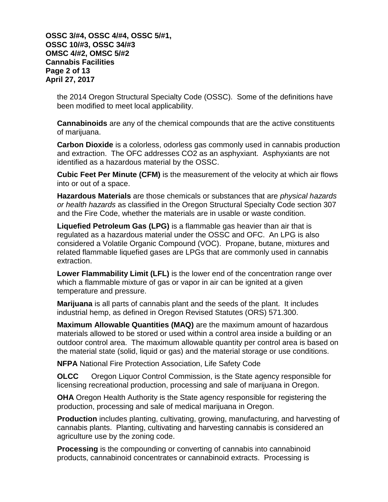**OSSC 3/#4, OSSC 4/#4, OSSC 5/#1, OSSC 10/#3, OSSC 34/#3 OMSC 4/#2, OMSC 5/#2 Cannabis Facilities Page 2 of 13 April 27, 2017**

the 2014 Oregon Structural Specialty Code (OSSC). Some of the definitions have been modified to meet local applicability.

**Cannabinoids** are any of the chemical compounds that are the active constituents of marijuana.

**Carbon Dioxide** is a colorless, odorless gas commonly used in cannabis production and extraction. The OFC addresses CO2 as an asphyxiant. Asphyxiants are not identified as a hazardous material by the OSSC.

**Cubic Feet Per Minute (CFM)** is the measurement of the velocity at which air flows into or out of a space.

**Hazardous Materials** are those chemicals or substances that are *physical hazards or health hazards* as classified in the Oregon Structural Specialty Code section 307 and the Fire Code, whether the materials are in usable or waste condition.

**Liquefied Petroleum Gas (LPG)** is a flammable gas heavier than air that is regulated as a hazardous material under the OSSC and OFC. An LPG is also considered a Volatile Organic Compound (VOC). Propane, butane, mixtures and related flammable liquefied gases are LPGs that are commonly used in cannabis extraction.

**Lower Flammability Limit (LFL)** is the lower end of the concentration range over which a flammable mixture of gas or vapor in air can be ignited at a given temperature and pressure.

**Marijuana** is all parts of cannabis plant and the seeds of the plant. It includes industrial hemp, as defined in Oregon Revised Statutes (ORS) 571.300.

**Maximum Allowable Quantities (MAQ)** are the maximum amount of hazardous materials allowed to be stored or used within a control area inside a building or an outdoor control area. The maximum allowable quantity per control area is based on the material state (solid, liquid or gas) and the material storage or use conditions.

**NFPA** National Fire Protection Association, Life Safety Code

**OLCC** Oregon Liquor Control Commission, is the State agency responsible for licensing recreational production, processing and sale of marijuana in Oregon.

**OHA** Oregon Health Authority is the State agency responsible for registering the production, processing and sale of medical marijuana in Oregon.

**Production** includes planting, cultivating, growing, manufacturing, and harvesting of cannabis plants. Planting, cultivating and harvesting cannabis is considered an agriculture use by the zoning code.

**Processing** is the compounding or converting of cannabis into cannabinoid products, cannabinoid concentrates or cannabinoid extracts. Processing is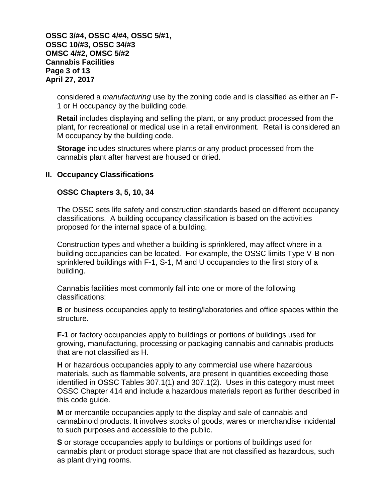**OSSC 3/#4, OSSC 4/#4, OSSC 5/#1, OSSC 10/#3, OSSC 34/#3 OMSC 4/#2, OMSC 5/#2 Cannabis Facilities Page 3 of 13 April 27, 2017**

considered a *manufacturing* use by the zoning code and is classified as either an F-1 or H occupancy by the building code.

**Retail** includes displaying and selling the plant, or any product processed from the plant, for recreational or medical use in a retail environment. Retail is considered an M occupancy by the building code.

**Storage** includes structures where plants or any product processed from the cannabis plant after harvest are housed or dried.

#### **II. Occupancy Classifications**

#### **OSSC Chapters 3, 5, 10, 34**

The OSSC sets life safety and construction standards based on different occupancy classifications. A building occupancy classification is based on the activities proposed for the internal space of a building.

Construction types and whether a building is sprinklered, may affect where in a building occupancies can be located. For example, the OSSC limits Type V-B nonsprinklered buildings with F-1, S-1, M and U occupancies to the first story of a building.

Cannabis facilities most commonly fall into one or more of the following classifications:

**B** or business occupancies apply to testing/laboratories and office spaces within the structure.

**F-1** or factory occupancies apply to buildings or portions of buildings used for growing, manufacturing, processing or packaging cannabis and cannabis products that are not classified as H.

**H** or hazardous occupancies apply to any commercial use where hazardous materials, such as flammable solvents, are present in quantities exceeding those identified in OSSC Tables 307.1(1) and 307.1(2). Uses in this category must meet OSSC Chapter 414 and include a hazardous materials report as further described in this code guide.

**M** or mercantile occupancies apply to the display and sale of cannabis and cannabinoid products. It involves stocks of goods, wares or merchandise incidental to such purposes and accessible to the public.

**S** or storage occupancies apply to buildings or portions of buildings used for cannabis plant or product storage space that are not classified as hazardous, such as plant drying rooms.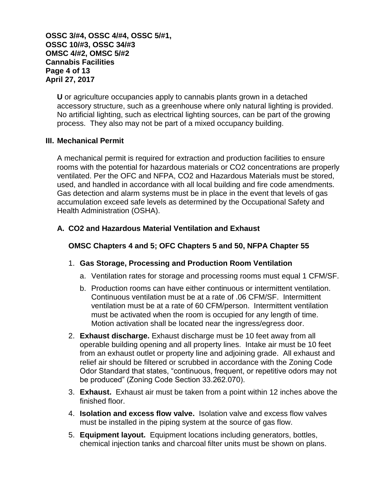**OSSC 3/#4, OSSC 4/#4, OSSC 5/#1, OSSC 10/#3, OSSC 34/#3 OMSC 4/#2, OMSC 5/#2 Cannabis Facilities Page 4 of 13 April 27, 2017**

**U** or agriculture occupancies apply to cannabis plants grown in a detached accessory structure, such as a greenhouse where only natural lighting is provided. No artificial lighting, such as electrical lighting sources, can be part of the growing process. They also may not be part of a mixed occupancy building.

### **III. Mechanical Permit**

A mechanical permit is required for extraction and production facilities to ensure rooms with the potential for hazardous materials or CO2 concentrations are properly ventilated. Per the OFC and NFPA, CO2 and Hazardous Materials must be stored, used, and handled in accordance with all local building and fire code amendments. Gas detection and alarm systems must be in place in the event that levels of gas accumulation exceed safe levels as determined by the Occupational Safety and Health Administration (OSHA).

### **A. CO2 and Hazardous Material Ventilation and Exhaust**

### **OMSC Chapters 4 and 5; OFC Chapters 5 and 50, NFPA Chapter 55**

### 1. **Gas Storage, Processing and Production Room Ventilation**

- a. Ventilation rates for storage and processing rooms must equal 1 CFM/SF.
- b. Production rooms can have either continuous or intermittent ventilation. Continuous ventilation must be at a rate of .06 CFM/SF. Intermittent ventilation must be at a rate of 60 CFM/person. Intermittent ventilation must be activated when the room is occupied for any length of time. Motion activation shall be located near the ingress/egress door.
- 2. **Exhaust discharge.** Exhaust discharge must be 10 feet away from all operable building opening and all property lines. Intake air must be 10 feet from an exhaust outlet or property line and adjoining grade. All exhaust and relief air should be filtered or scrubbed in accordance with the Zoning Code Odor Standard that states, "continuous, frequent, or repetitive odors may not be produced" (Zoning Code Section 33.262.070).
- 3. **Exhaust.** Exhaust air must be taken from a point within 12 inches above the finished floor.
- 4. **Isolation and excess flow valve.** Isolation valve and excess flow valves must be installed in the piping system at the source of gas flow.
- 5. **Equipment layout.** Equipment locations including generators, bottles, chemical injection tanks and charcoal filter units must be shown on plans.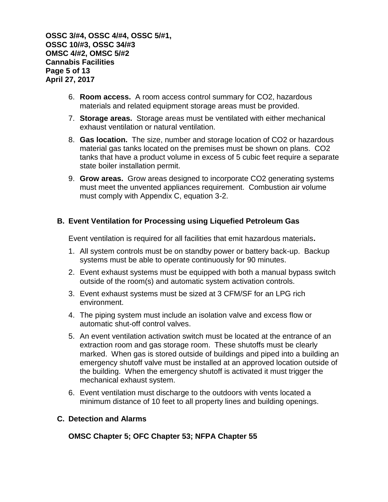**OSSC 3/#4, OSSC 4/#4, OSSC 5/#1, OSSC 10/#3, OSSC 34/#3 OMSC 4/#2, OMSC 5/#2 Cannabis Facilities Page 5 of 13 April 27, 2017**

- 6. **Room access.** A room access control summary for CO2, hazardous materials and related equipment storage areas must be provided.
- 7. **Storage areas.** Storage areas must be ventilated with either mechanical exhaust ventilation or natural ventilation.
- 8. **Gas location.** The size, number and storage location of CO2 or hazardous material gas tanks located on the premises must be shown on plans. CO2 tanks that have a product volume in excess of 5 cubic feet require a separate state boiler installation permit.
- 9. **Grow areas.** Grow areas designed to incorporate CO2 generating systems must meet the unvented appliances requirement. Combustion air volume must comply with Appendix C, equation 3-2.

## **B. Event Ventilation for Processing using Liquefied Petroleum Gas**

Event ventilation is required for all facilities that emit hazardous materials**.** 

- 1. All system controls must be on standby power or battery back-up. Backup systems must be able to operate continuously for 90 minutes.
- 2. Event exhaust systems must be equipped with both a manual bypass switch outside of the room(s) and automatic system activation controls.
- 3. Event exhaust systems must be sized at 3 CFM/SF for an LPG rich environment.
- 4. The piping system must include an isolation valve and excess flow or automatic shut-off control valves.
- 5. An event ventilation activation switch must be located at the entrance of an extraction room and gas storage room. These shutoffs must be clearly marked. When gas is stored outside of buildings and piped into a building an emergency shutoff valve must be installed at an approved location outside of the building. When the emergency shutoff is activated it must trigger the mechanical exhaust system.
- 6. Event ventilation must discharge to the outdoors with vents located a minimum distance of 10 feet to all property lines and building openings.

### **C. Detection and Alarms**

**OMSC Chapter 5; OFC Chapter 53; NFPA Chapter 55**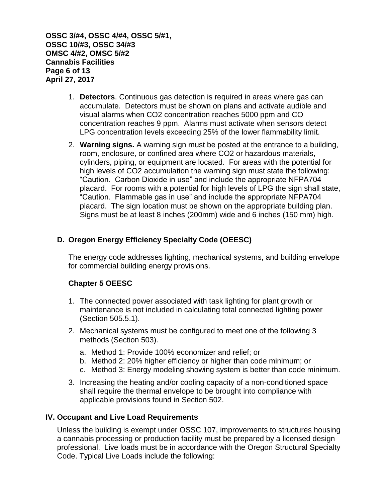**OSSC 3/#4, OSSC 4/#4, OSSC 5/#1, OSSC 10/#3, OSSC 34/#3 OMSC 4/#2, OMSC 5/#2 Cannabis Facilities Page 6 of 13 April 27, 2017**

- 1. **Detectors**. Continuous gas detection is required in areas where gas can accumulate. Detectors must be shown on plans and activate audible and visual alarms when CO2 concentration reaches 5000 ppm and CO concentration reaches 9 ppm. Alarms must activate when sensors detect LPG concentration levels exceeding 25% of the lower flammability limit.
- 2. **Warning signs.** A warning sign must be posted at the entrance to a building, room, enclosure, or confined area where CO2 or hazardous materials, cylinders, piping, or equipment are located. For areas with the potential for high levels of CO2 accumulation the warning sign must state the following: "Caution. Carbon Dioxide in use" and include the appropriate NFPA704 placard. For rooms with a potential for high levels of LPG the sign shall state, "Caution. Flammable gas in use" and include the appropriate NFPA704 placard. The sign location must be shown on the appropriate building plan. Signs must be at least 8 inches (200mm) wide and 6 inches (150 mm) high.

## **D. Oregon Energy Efficiency Specialty Code (OEESC)**

The energy code addresses lighting, mechanical systems, and building envelope for commercial building energy provisions.

### **Chapter 5 OEESC**

- 1. The connected power associated with task lighting for plant growth or maintenance is not included in calculating total connected lighting power (Section 505.5.1).
- 2. Mechanical systems must be configured to meet one of the following 3 methods (Section 503).
	- a. Method 1: Provide 100% economizer and relief; or
	- b. Method 2: 20% higher efficiency or higher than code minimum; or
	- c. Method 3: Energy modeling showing system is better than code minimum.
- 3. Increasing the heating and/or cooling capacity of a non-conditioned space shall require the thermal envelope to be brought into compliance with applicable provisions found in Section 502.

#### **IV. Occupant and Live Load Requirements**

Unless the building is exempt under OSSC 107, improvements to structures housing a cannabis processing or production facility must be prepared by a licensed design professional. Live loads must be in accordance with the Oregon Structural Specialty Code. Typical Live Loads include the following: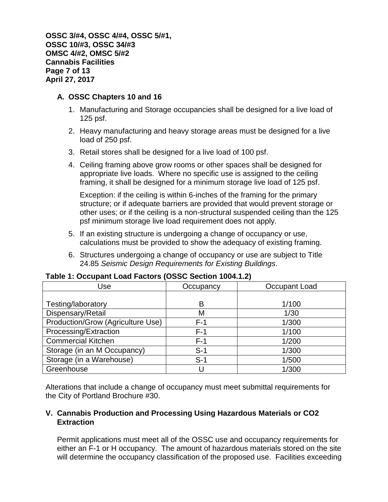**OSSC 3/#4, OSSC 4/#4, OSSC 5/#1, OSSC 10/#3, OSSC 34/#3 OMSC 4/#2, OMSC 5/#2 Cannabis Facilities Page 7 of 13 April 27, 2017**

### **A. OSSC Chapters 10 and 16**

- 1. Manufacturing and Storage occupancies shall be designed for a live load of 125 psf.
- 2. Heavy manufacturing and heavy storage areas must be designed for a live load of 250 psf.
- 3. Retail stores shall be designed for a live load of 100 psf.
- 4. Ceiling framing above grow rooms or other spaces shall be designed for appropriate live loads. Where no specific use is assigned to the ceiling framing, it shall be designed for a minimum storage live load of 125 psf.

Exception: if the ceiling is within 6-inches of the framing for the primary structure; or if adequate barriers are provided that would prevent storage or other uses; or if the ceiling is a non-structural suspended ceiling than the 125 psf minimum storage live load requirement does not apply.

- 5. If an existing structure is undergoing a change of occupancy or use, calculations must be provided to show the adequacy of existing framing.
- 6. Structures undergoing a change of occupancy or use are subject to Title 24.85 *Seismic Design Requirements for Existing Buildings*.

| Use                               | Occupancy | Occupant Load |
|-----------------------------------|-----------|---------------|
|                                   |           |               |
| Testing/laboratory                | в         | 1/100         |
| Dispensary/Retail                 | M         | 1/30          |
| Production/Grow (Agriculture Use) | $F-1$     | 1/300         |
| Processing/Extraction             | $F-1$     | 1/100         |
| <b>Commercial Kitchen</b>         | $F-1$     | 1/200         |
| Storage (in an M Occupancy)       | $S-1$     | 1/300         |
| Storage (in a Warehouse)          | $S-1$     | 1/500         |
| Greenhouse                        |           | 1/300         |

### **Table 1: Occupant Load Factors (OSSC Section 1004.1.2)**

Alterations that include a change of occupancy must meet submittal requirements for the City of Portland Brochure #30.

### **V. Cannabis Production and Processing Using Hazardous Materials or CO2 Extraction**

Permit applications must meet all of the OSSC use and occupancy requirements for either an F-1 or H occupancy. The amount of hazardous materials stored on the site will determine the occupancy classification of the proposed use. Facilities exceeding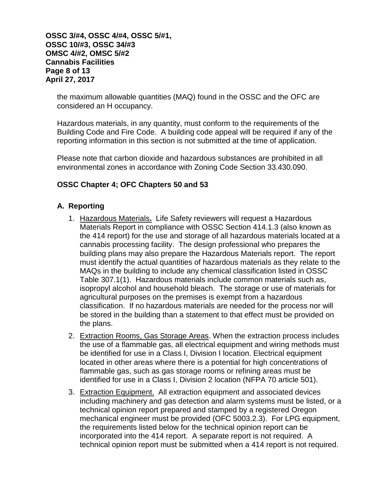**OSSC 3/#4, OSSC 4/#4, OSSC 5/#1, OSSC 10/#3, OSSC 34/#3 OMSC 4/#2, OMSC 5/#2 Cannabis Facilities Page 8 of 13 April 27, 2017**

the maximum allowable quantities (MAQ) found in the OSSC and the OFC are considered an H occupancy.

Hazardous materials, in any quantity, must conform to the requirements of the Building Code and Fire Code. A building code appeal will be required if any of the reporting information in this section is not submitted at the time of application.

Please note that carbon dioxide and hazardous substances are prohibited in all environmental zones in accordance with Zoning Code Section 33.430.090.

## **OSSC Chapter 4; OFC Chapters 50 and 53**

### **A. Reporting**

- 1. Hazardous Materials**.** Life Safety reviewers will request a Hazardous Materials Report in compliance with OSSC Section 414.1.3 (also known as the 414 report) for the use and storage of all hazardous materials located at a cannabis processing facility. The design professional who prepares the building plans may also prepare the Hazardous Materials report. The report must identify the actual quantities of hazardous materials as they relate to the MAQs in the building to include any chemical classification listed in OSSC Table 307.1(1). Hazardous materials include common materials such as, isopropyl alcohol and household bleach. The storage or use of materials for agricultural purposes on the premises is exempt from a hazardous classification. If no hazardous materials are needed for the process nor will be stored in the building than a statement to that effect must be provided on the plans.
- 2. Extraction Rooms, Gas Storage Areas. When the extraction process includes the use of a flammable gas, all electrical equipment and wiring methods must be identified for use in a Class I, Division I location. Electrical equipment located in other areas where there is a potential for high concentrations of flammable gas, such as gas storage rooms or refining areas must be identified for use in a Class I, Division 2 location (NFPA 70 article 501).
- 3. Extraction Equipment.All extraction equipment and associated devices including machinery and gas detection and alarm systems must be listed, or a technical opinion report prepared and stamped by a registered Oregon mechanical engineer must be provided (OFC 5003.2.3). For LPG equipment, the requirements listed below for the technical opinion report can be incorporated into the 414 report. A separate report is not required. A technical opinion report must be submitted when a 414 report is not required.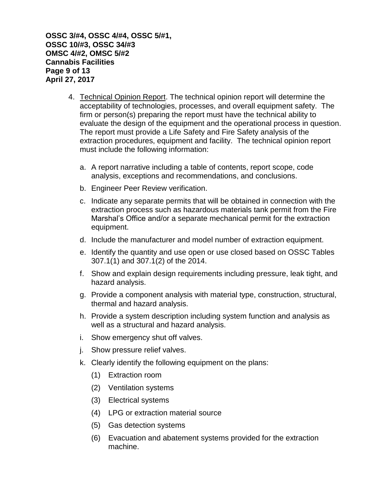**OSSC 3/#4, OSSC 4/#4, OSSC 5/#1, OSSC 10/#3, OSSC 34/#3 OMSC 4/#2, OMSC 5/#2 Cannabis Facilities Page 9 of 13 April 27, 2017**

- 4. Technical Opinion Report. The technical opinion report will determine the acceptability of technologies, processes, and overall equipment safety. The firm or person(s) preparing the report must have the technical ability to evaluate the design of the equipment and the operational process in question. The report must provide a Life Safety and Fire Safety analysis of the extraction procedures, equipment and facility. The technical opinion report must include the following information:
	- a. A report narrative including a table of contents, report scope, code analysis, exceptions and recommendations, and conclusions.
	- b. Engineer Peer Review verification.
	- c. Indicate any separate permits that will be obtained in connection with the extraction process such as hazardous materials tank permit from the Fire Marshal's Office and/or a separate mechanical permit for the extraction equipment.
	- d. Include the manufacturer and model number of extraction equipment.
	- e. Identify the quantity and use open or use closed based on OSSC Tables 307.1(1) and 307.1(2) of the 2014.
	- f. Show and explain design requirements including pressure, leak tight, and hazard analysis.
	- g. Provide a component analysis with material type, construction, structural, thermal and hazard analysis.
	- h. Provide a system description including system function and analysis as well as a structural and hazard analysis.
	- i. Show emergency shut off valves.
	- j. Show pressure relief valves.
	- k. Clearly identify the following equipment on the plans:
		- (1) Extraction room
		- (2) Ventilation systems
		- (3) Electrical systems
		- (4) LPG or extraction material source
		- (5) Gas detection systems
		- (6) Evacuation and abatement systems provided for the extraction machine.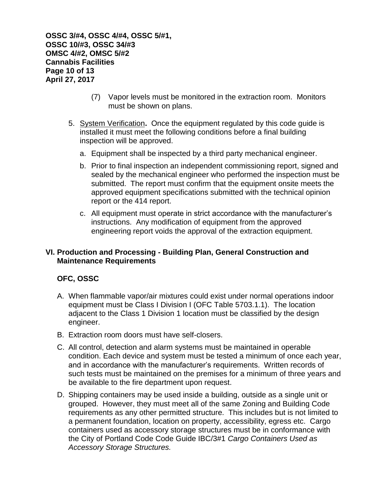**OSSC 3/#4, OSSC 4/#4, OSSC 5/#1, OSSC 10/#3, OSSC 34/#3 OMSC 4/#2, OMSC 5/#2 Cannabis Facilities Page 10 of 13 April 27, 2017**

- (7) Vapor levels must be monitored in the extraction room. Monitors must be shown on plans.
- 5. System Verification**.** Once the equipment regulated by this code guide is installed it must meet the following conditions before a final building inspection will be approved.
	- a. Equipment shall be inspected by a third party mechanical engineer.
	- b. Prior to final inspection an independent commissioning report, signed and sealed by the mechanical engineer who performed the inspection must be submitted. The report must confirm that the equipment onsite meets the approved equipment specifications submitted with the technical opinion report or the 414 report.
	- c. All equipment must operate in strict accordance with the manufacturer's instructions. Any modification of equipment from the approved engineering report voids the approval of the extraction equipment.

### **VI. Production and Processing - Building Plan, General Construction and Maintenance Requirements**

### **OFC, OSSC**

- A. When flammable vapor/air mixtures could exist under normal operations indoor equipment must be Class I Division I (OFC Table 5703.1.1). The location adjacent to the Class 1 Division 1 location must be classified by the design engineer.
- B. Extraction room doors must have self-closers.
- C. All control, detection and alarm systems must be maintained in operable condition. Each device and system must be tested a minimum of once each year, and in accordance with the manufacturer's requirements. Written records of such tests must be maintained on the premises for a minimum of three years and be available to the fire department upon request.
- D. Shipping containers may be used inside a building, outside as a single unit or grouped. However, they must meet all of the same Zoning and Building Code requirements as any other permitted structure. This includes but is not limited to a permanent foundation, location on property, accessibility, egress etc. Cargo containers used as accessory storage structures must be in conformance with the City of Portland Code Code Guide IBC/3#1 *Cargo Containers Used as Accessory Storage Structures.*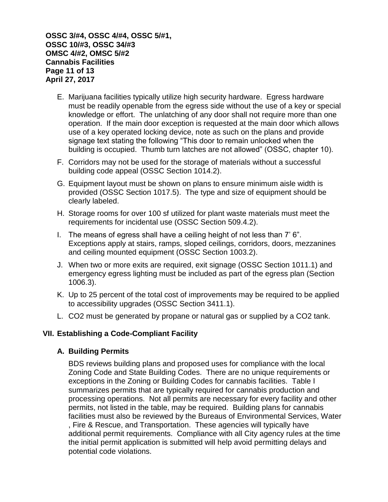**OSSC 3/#4, OSSC 4/#4, OSSC 5/#1, OSSC 10/#3, OSSC 34/#3 OMSC 4/#2, OMSC 5/#2 Cannabis Facilities Page 11 of 13 April 27, 2017**

- E. Marijuana facilities typically utilize high security hardware. Egress hardware must be readily openable from the egress side without the use of a key or special knowledge or effort. The unlatching of any door shall not require more than one operation. If the main door exception is requested at the main door which allows use of a key operated locking device, note as such on the plans and provide signage text stating the following "This door to remain unlocked when the building is occupied. Thumb turn latches are not allowed" (OSSC, chapter 10).
- F. Corridors may not be used for the storage of materials without a successful building code appeal (OSSC Section 1014.2).
- G. Equipment layout must be shown on plans to ensure minimum aisle width is provided (OSSC Section 1017.5). The type and size of equipment should be clearly labeled.
- H. Storage rooms for over 100 sf utilized for plant waste materials must meet the requirements for incidental use (OSSC Section 509.4.2).
- I. The means of egress shall have a ceiling height of not less than 7' 6". Exceptions apply at stairs, ramps, sloped ceilings, corridors, doors, mezzanines and ceiling mounted equipment (OSSC Section 1003.2).
- J. When two or more exits are required, exit signage (OSSC Section 1011.1) and emergency egress lighting must be included as part of the egress plan (Section 1006.3).
- K. Up to 25 percent of the total cost of improvements may be required to be applied to accessibility upgrades (OSSC Section 3411.1).
- L. CO2 must be generated by propane or natural gas or supplied by a CO2 tank.

#### **VII. Establishing a Code-Compliant Facility**

#### **A. Building Permits**

BDS reviews building plans and proposed uses for compliance with the local Zoning Code and State Building Codes. There are no unique requirements or exceptions in the Zoning or Building Codes for cannabis facilities. Table I summarizes permits that are typically required for cannabis production and processing operations. Not all permits are necessary for every facility and other permits, not listed in the table, may be required. Building plans for cannabis facilities must also be reviewed by the Bureaus of Environmental Services, Water , Fire & Rescue, and Transportation. These agencies will typically have additional permit requirements. Compliance with all City agency rules at the time the initial permit application is submitted will help avoid permitting delays and potential code violations.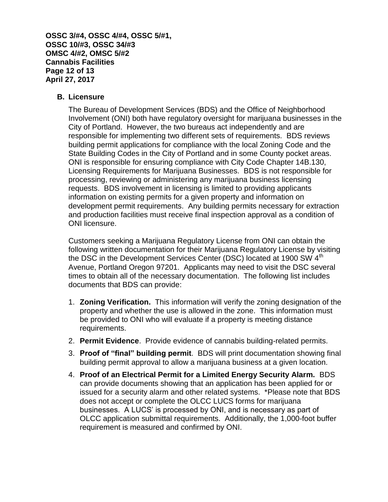**OSSC 3/#4, OSSC 4/#4, OSSC 5/#1, OSSC 10/#3, OSSC 34/#3 OMSC 4/#2, OMSC 5/#2 Cannabis Facilities Page 12 of 13 April 27, 2017**

#### **B. Licensure**

The Bureau of Development Services (BDS) and the Office of Neighborhood Involvement (ONI) both have regulatory oversight for marijuana businesses in the City of Portland. However, the two bureaus act independently and are responsible for implementing two different sets of requirements. BDS reviews building permit applications for compliance with the local Zoning Code and the State Building Codes in the City of Portland and in some County pocket areas. ONI is responsible for ensuring compliance with City Code Chapter 14B.130, Licensing Requirements for Marijuana Businesses. BDS is not responsible for processing, reviewing or administering any marijuana business licensing requests. BDS involvement in licensing is limited to providing applicants information on existing permits for a given property and information on development permit requirements. Any building permits necessary for extraction and production facilities must receive final inspection approval as a condition of ONI licensure.

Customers seeking a Marijuana Regulatory License from ONI can obtain the following written documentation for their Marijuana Regulatory License by visiting the DSC in the Development Services Center (DSC) located at 1900 SW 4<sup>th</sup> Avenue, Portland Oregon 97201. Applicants may need to visit the DSC several times to obtain all of the necessary documentation. The following list includes documents that BDS can provide:

- 1. **Zoning Verification.** This information will verify the zoning designation of the property and whether the use is allowed in the zone. This information must be provided to ONI who will evaluate if a property is meeting distance requirements.
- 2. **Permit Evidence**. Provide evidence of cannabis building-related permits.
- 3. **Proof of "final" building permit**. BDS will print documentation showing final building permit approval to allow a marijuana business at a given location.
- 4. **Proof of an Electrical Permit for a Limited Energy Security Alarm.** BDS can provide documents showing that an application has been applied for or issued for a security alarm and other related systems. \*Please note that BDS does not accept or complete the OLCC LUCS forms for marijuana businesses. A LUCS' is processed by ONI, and is necessary as part of OLCC application submittal requirements. Additionally, the 1,000-foot buffer requirement is measured and confirmed by ONI.